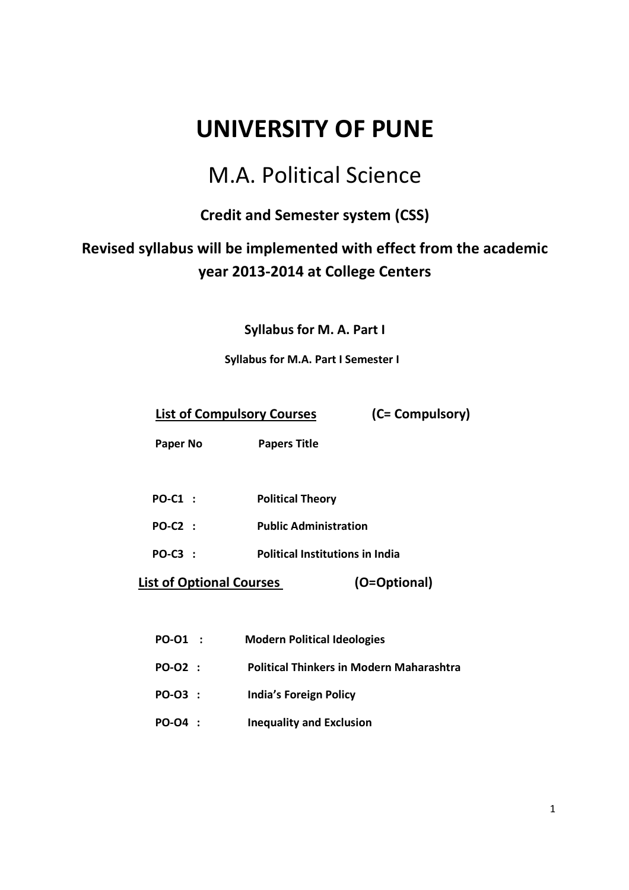# **UNIVERSITY OF PUNE**

# M.A. Political Science

# **Credit and Semester system (CSS)**

# **Revised syllabus will be implemented with effect from the academic year 2013-2014 at College Centers**

**Syllabus for M. A. Part I** 

# **Syllabus for M.A. Part I Semester I**

**List of Compulsory Courses (C= Compulsory)** 

 **Paper No Papers Title** 

- **PO-C1 : Political Theory**
- **PO-C2 : Public Administration**
- **PO-C3 : Political Institutions in India**

 **List of Optional Courses (O=Optional)** 

| <b>PO-01</b> | <b>Modern Political Ideologies</b> |
|--------------|------------------------------------|
|--------------|------------------------------------|

- **PO-O2 : Political Thinkers in Modern Maharashtra**
- **PO-O3 : India's Foreign Policy**
- **PO-O4 : Inequality and Exclusion**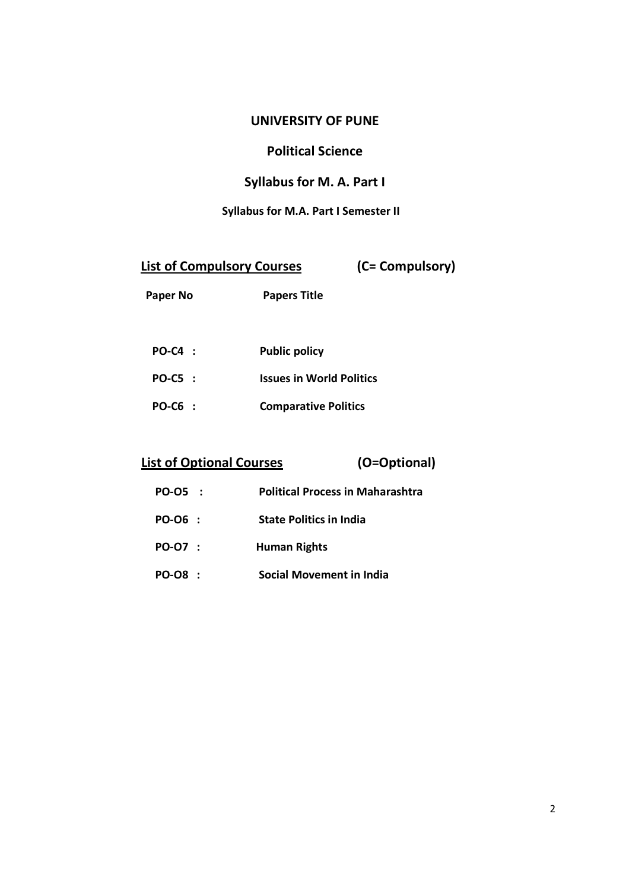# **UNIVERSITY OF PUNE**

# **Political Science**

# **Syllabus for M. A. Part I**

# **Syllabus for M.A. Part I Semester II**

| <b>List of Compulsory Courses</b> | (C= Compulsory) |
|-----------------------------------|-----------------|
|                                   |                 |

| Paper No | <b>Papers Title</b> |
|----------|---------------------|
|----------|---------------------|

| $PO-C4$ : | <b>Public policy</b>            |
|-----------|---------------------------------|
| $PO-CS$ : | <b>Issues in World Politics</b> |
| $PO-C6$ : | <b>Comparative Politics</b>     |

 **List of Optional Courses (O=Optional)** 

| PO-05 :        | <b>Political Process in Maharashtra</b> |
|----------------|-----------------------------------------|
| PO-06 :        | <b>State Politics in India</b>          |
| PO-07 :        | Human Rights                            |
| <b>PO-08 :</b> | <b>Social Movement in India</b>         |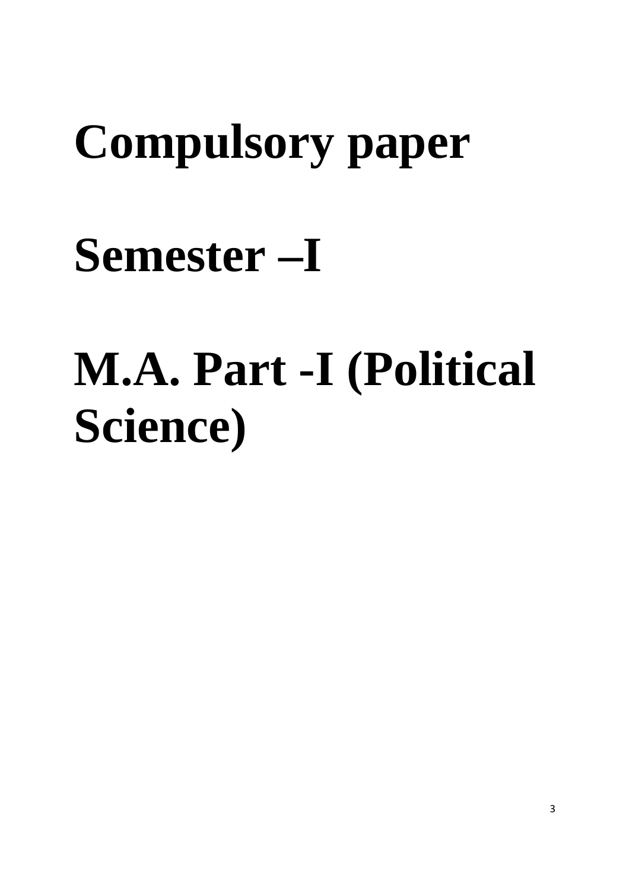# **Compulsory paper**

# **Semester –I**

# **M.A. Part -I (Political Science)**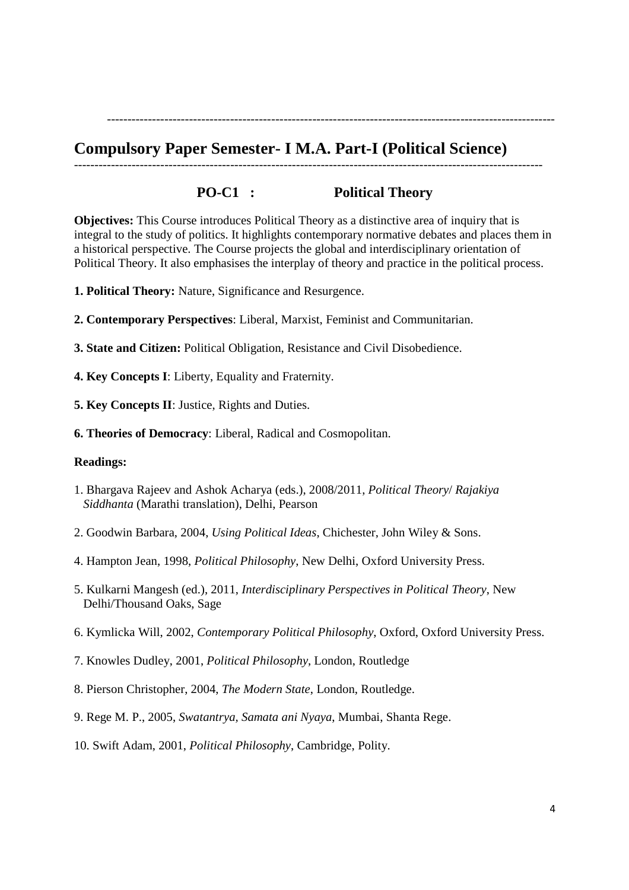# **Compulsory Paper Semester- I M.A. Part-I (Political Science)**

# **PO-C1 : Political Theory**

------------------------------------------------------------------------------------------------------------------

-------------------------------------------------------------------------------------------------------------

**Objectives:** This Course introduces Political Theory as a distinctive area of inquiry that is integral to the study of politics. It highlights contemporary normative debates and places them in a historical perspective. The Course projects the global and interdisciplinary orientation of Political Theory. It also emphasises the interplay of theory and practice in the political process.

- **1. Political Theory:** Nature, Significance and Resurgence.
- **2. Contemporary Perspectives**: Liberal, Marxist, Feminist and Communitarian.
- **3. State and Citizen:** Political Obligation, Resistance and Civil Disobedience.
- **4. Key Concepts I**: Liberty, Equality and Fraternity.
- **5. Key Concepts II**: Justice, Rights and Duties.
- **6. Theories of Democracy**: Liberal, Radical and Cosmopolitan.

### **Readings:**

- 1. Bhargava Rajeev and Ashok Acharya (eds.), 2008/2011, *Political Theory*/ *Rajakiya Siddhanta* (Marathi translation), Delhi, Pearson
- 2. Goodwin Barbara, 2004, *Using Political Ideas*, Chichester, John Wiley & Sons.
- 4. Hampton Jean, 1998, *Political Philosophy*, New Delhi, Oxford University Press.
- 5. Kulkarni Mangesh (ed.), 2011, *Interdisciplinary Perspectives in Political Theory*, New Delhi/Thousand Oaks, Sage
- 6. Kymlicka Will, 2002, *Contemporary Political Philosophy*, Oxford, Oxford University Press.
- 7. Knowles Dudley, 2001, *Political Philosophy*, London, Routledge
- 8. Pierson Christopher, 2004, *The Modern State*, London, Routledge.
- 9. Rege M. P., 2005, *Swatantrya, Samata ani Nyaya*, Mumbai, Shanta Rege.
- 10. Swift Adam, 2001, *Political Philosophy*, Cambridge, Polity.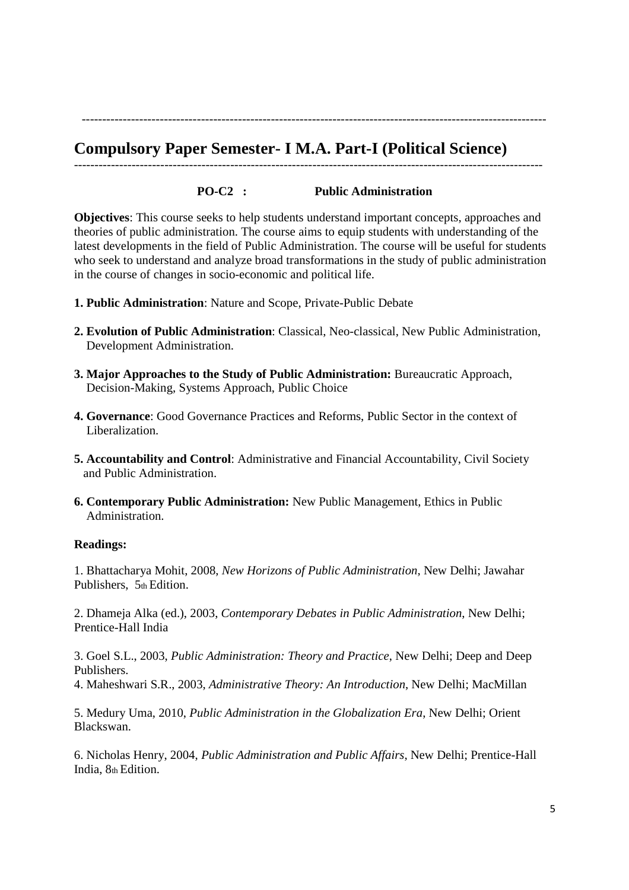# **Compulsory Paper Semester- I M.A. Part-I (Political Science)**

**PO-C2 : Public Administration** 

------------------------------------------------------------------------------------------------------------------

-----------------------------------------------------------------------------------------------------------------

**Objectives**: This course seeks to help students understand important concepts, approaches and theories of public administration. The course aims to equip students with understanding of the latest developments in the field of Public Administration. The course will be useful for students who seek to understand and analyze broad transformations in the study of public administration in the course of changes in socio-economic and political life.

- **1. Public Administration**: Nature and Scope, Private-Public Debate
- **2. Evolution of Public Administration**: Classical, Neo-classical, New Public Administration, Development Administration.
- **3. Major Approaches to the Study of Public Administration:** Bureaucratic Approach, Decision-Making, Systems Approach, Public Choice
- **4. Governance**: Good Governance Practices and Reforms, Public Sector in the context of Liberalization.
- **5. Accountability and Control**: Administrative and Financial Accountability, Civil Society and Public Administration.
- **6. Contemporary Public Administration:** New Public Management, Ethics in Public Administration.

### **Readings:**

1. Bhattacharya Mohit, 2008, *New Horizons of Public Administration*, New Delhi; Jawahar Publishers, 5th Edition.

2. Dhameja Alka (ed.), 2003, *Contemporary Debates in Public Administration*, New Delhi; Prentice-Hall India

3. Goel S.L., 2003, *Public Administration: Theory and Practice*, New Delhi; Deep and Deep Publishers.

4. Maheshwari S.R., 2003, *Administrative Theory: An Introduction*, New Delhi; MacMillan

5. Medury Uma, 2010, *Public Administration in the Globalization Era*, New Delhi; Orient Blackswan.

6. Nicholas Henry, 2004, *Public Administration and Public Affairs*, New Delhi; Prentice-Hall India, 8th Edition.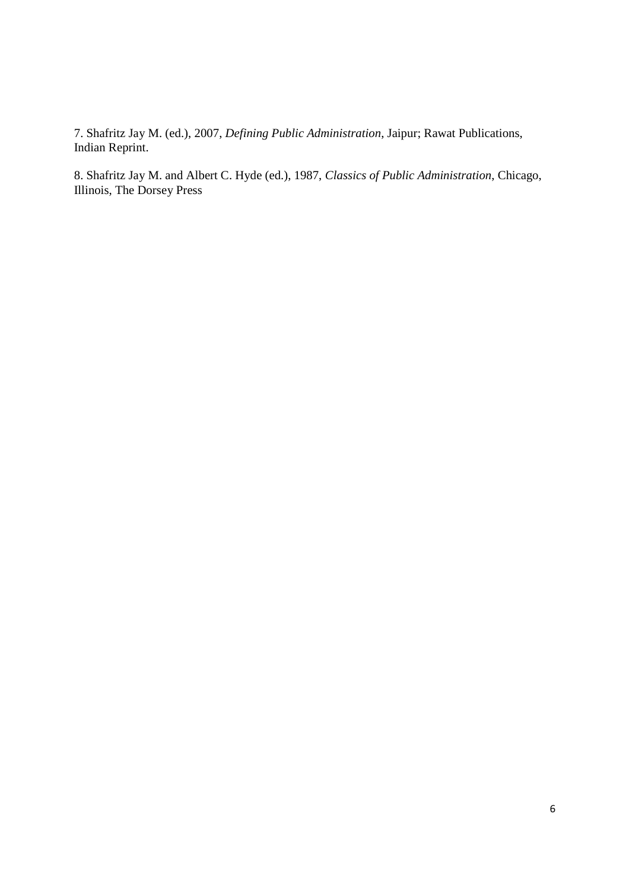7. Shafritz Jay M. (ed.), 2007, *Defining Public Administration*, Jaipur; Rawat Publications, Indian Reprint.

8. Shafritz Jay M. and Albert C. Hyde (ed.), 1987, *Classics of Public Administration*, Chicago, Illinois, The Dorsey Press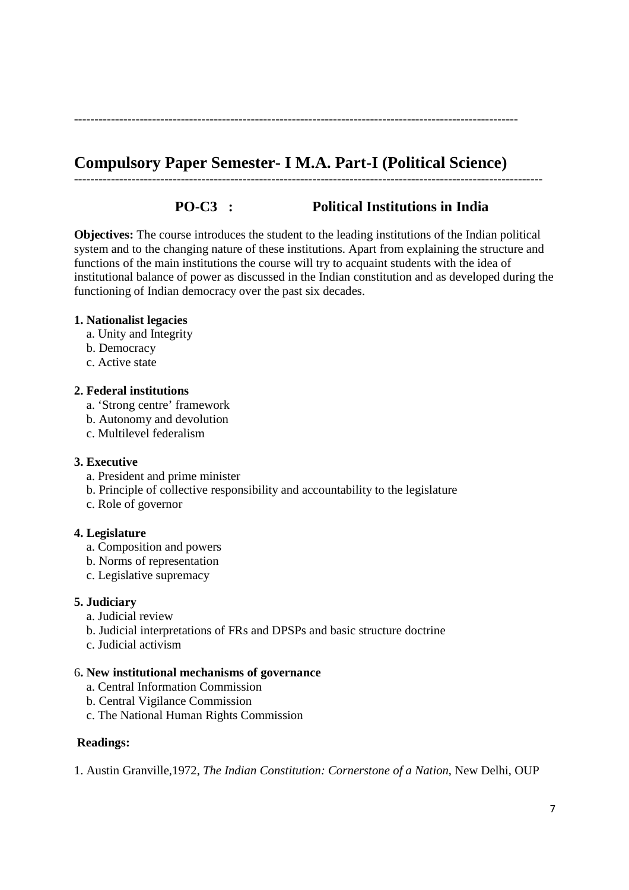# **Compulsory Paper Semester- I M.A. Part-I (Political Science)**

------------------------------------------------------------------------------------------------------------------

------------------------------------------------------------------------------------------------------------

# **PO-C3 : Political Institutions in India**

**Objectives:** The course introduces the student to the leading institutions of the Indian political system and to the changing nature of these institutions. Apart from explaining the structure and functions of the main institutions the course will try to acquaint students with the idea of institutional balance of power as discussed in the Indian constitution and as developed during the functioning of Indian democracy over the past six decades.

# **1. Nationalist legacies**

- a. Unity and Integrity
- b. Democracy
- c. Active state

# **2. Federal institutions**

- a. 'Strong centre' framework
- b. Autonomy and devolution
- c. Multilevel federalism

# **3. Executive**

- a. President and prime minister
- b. Principle of collective responsibility and accountability to the legislature
- c. Role of governor

# **4. Legislature**

- a. Composition and powers
- b. Norms of representation
- c. Legislative supremacy

# **5. Judiciary**

- a. Judicial review
- b. Judicial interpretations of FRs and DPSPs and basic structure doctrine
- c. Judicial activism

# 6**. New institutional mechanisms of governance**

- a. Central Information Commission
- b. Central Vigilance Commission
- c. The National Human Rights Commission

# **Readings:**

1. Austin Granville,1972, *The Indian Constitution: Cornerstone of a Nation*, New Delhi, OUP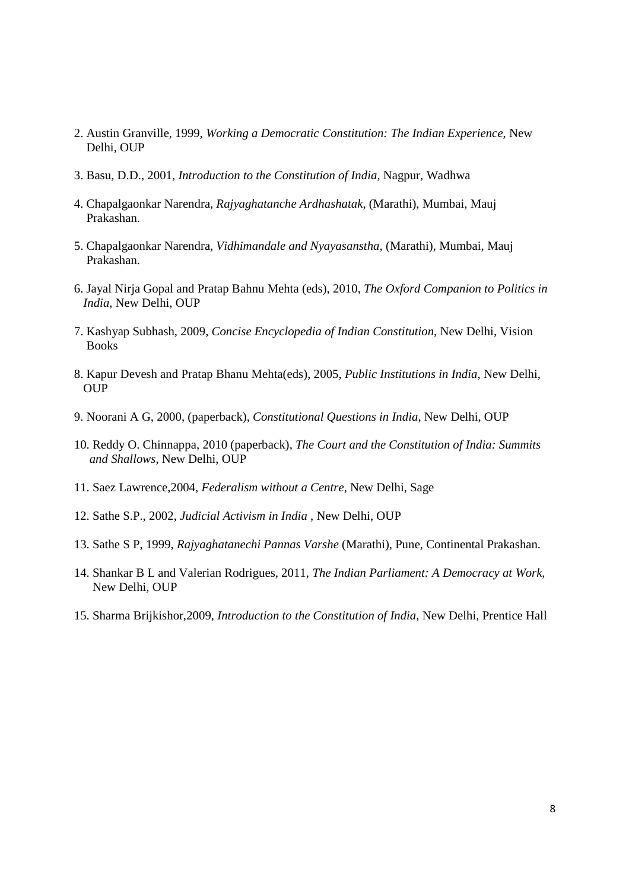- 2. Austin Granville, 1999, *Working a Democratic Constitution: The Indian Experience*, New Delhi, OUP
- 3. Basu, D.D., 2001, *Introduction to the Constitution of India*, Nagpur, Wadhwa
- 4. Chapalgaonkar Narendra, *Rajyaghatanche Ardhashatak,* (Marathi), Mumbai, Mauj Prakashan.
- 5. Chapalgaonkar Narendra, *Vidhimandale and Nyayasanstha,* (Marathi), Mumbai, Mauj Prakashan.
- 6. Jayal Nirja Gopal and Pratap Bahnu Mehta (eds), 2010, *The Oxford Companion to Politics in India,* New Delhi, OUP
- 7. Kashyap Subhash, 2009, *Concise Encyclopedia of Indian Constitution*, New Delhi, Vision Books
- 8. Kapur Devesh and Pratap Bhanu Mehta(eds), 2005, *Public Institutions in India*, New Delhi, OUP
- 9. Noorani A G, 2000, (paperback), *Constitutional Questions in India*, New Delhi, OUP
- 10. Reddy O. Chinnappa, 2010 (paperback), *The Court and the Constitution of India: Summits and Shallows*, New Delhi, OUP
- 11. Saez Lawrence,2004, *Federalism without a Centre*, New Delhi, Sage
- 12. Sathe S.P., 2002, *Judicial Activism in India* , New Delhi, OUP
- 13. Sathe S P, 1999, *Rajyaghatanechi Pannas Varshe* (Marathi), Pune, Continental Prakashan.
- 14. Shankar B L and Valerian Rodrigues, 2011, *The Indian Parliament: A Democracy at Work*, New Delhi, OUP
- 15. Sharma Brijkishor,2009, *Introduction to the Constitution of India*, New Delhi, Prentice Hall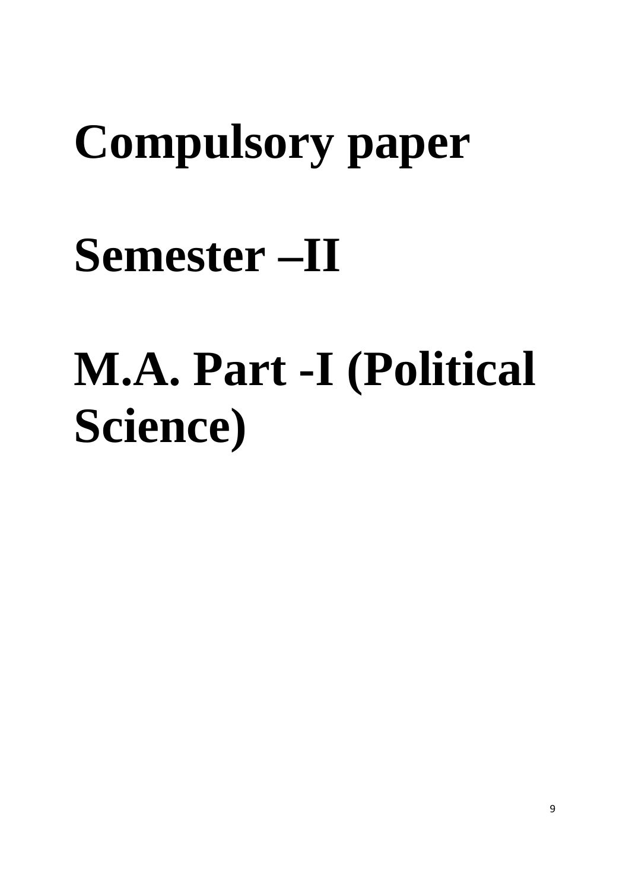# **Compulsory paper**

# **Semester –II**

# **M.A. Part -I (Political Science)**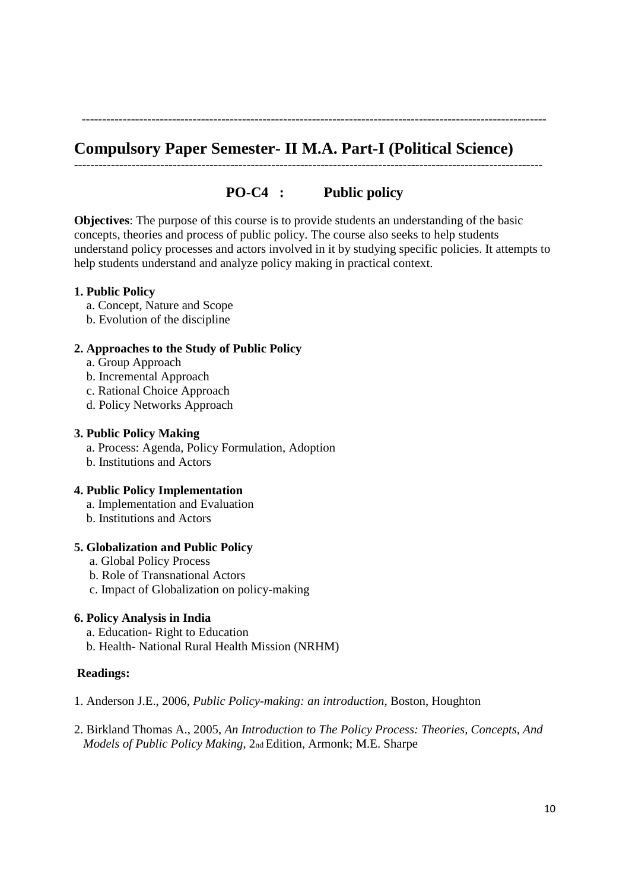**Compulsory Paper Semester- II M.A. Part-I (Political Science)** 

# **PO-C4 : Public policy**

------------------------------------------------------------------------------------------------------------------

-----------------------------------------------------------------------------------------------------------------

**Objectives**: The purpose of this course is to provide students an understanding of the basic concepts, theories and process of public policy. The course also seeks to help students understand policy processes and actors involved in it by studying specific policies. It attempts to help students understand and analyze policy making in practical context.

# **1. Public Policy**

- a. Concept, Nature and Scope
- b. Evolution of the discipline

# **2. Approaches to the Study of Public Policy**

- a. Group Approach
- b. Incremental Approach
- c. Rational Choice Approach
- d. Policy Networks Approach

### **3. Public Policy Making**

- a. Process: Agenda, Policy Formulation, Adoption
- b. Institutions and Actors

# **4. Public Policy Implementation**

- a. Implementation and Evaluation
- b. Institutions and Actors

# **5. Globalization and Public Policy**

- a. Global Policy Process
- b. Role of Transnational Actors
- c. Impact of Globalization on policy-making

# **6. Policy Analysis in India**

- a. Education- Right to Education
- b. Health- National Rural Health Mission (NRHM)

# **Readings:**

- 1. Anderson J.E., 2006, *Public Policy-making: an introduction*, Boston, Houghton
- 2. Birkland Thomas A., 2005, *An Introduction to The Policy Process: Theories, Concepts, And Models of Public Policy Making*, 2nd Edition, Armonk; M.E. Sharpe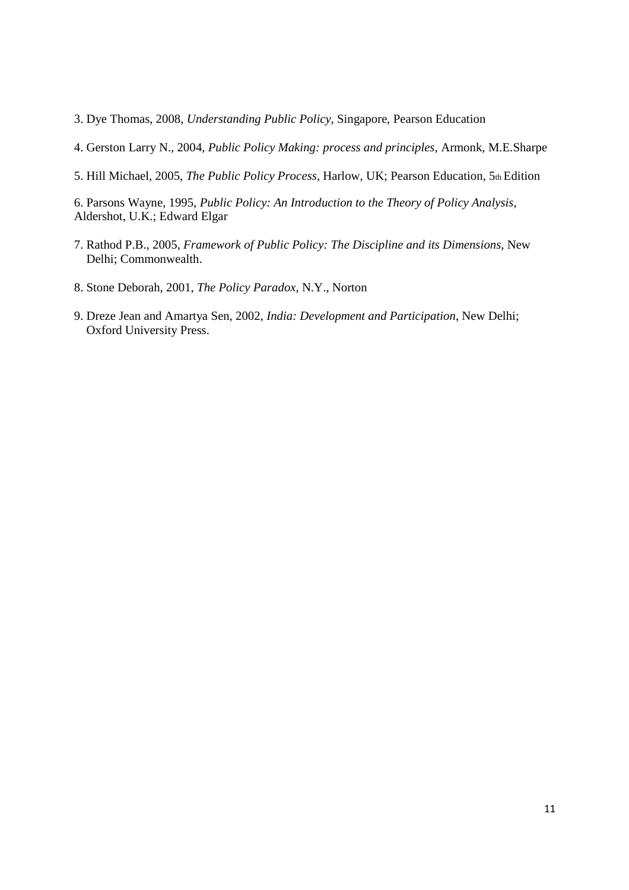- 3. Dye Thomas, 2008, *Understanding Public Policy*, Singapore, Pearson Education
- 4. Gerston Larry N., 2004, *Public Policy Making: process and principles*, Armonk, M.E.Sharpe
- 5. Hill Michael, 2005, *The Public Policy Process*, Harlow, UK; Pearson Education, 5th Edition

6. Parsons Wayne, 1995, *Public Policy: An Introduction to the Theory of Policy Analysis*, Aldershot, U.K.; Edward Elgar

- 7. Rathod P.B., 2005, *Framework of Public Policy: The Discipline and its Dimensions*, New Delhi; Commonwealth.
- 8. Stone Deborah, 2001, *The Policy Paradox*, N.Y., Norton
- 9. Dreze Jean and Amartya Sen, 2002, *India: Development and Participation*, New Delhi; Oxford University Press.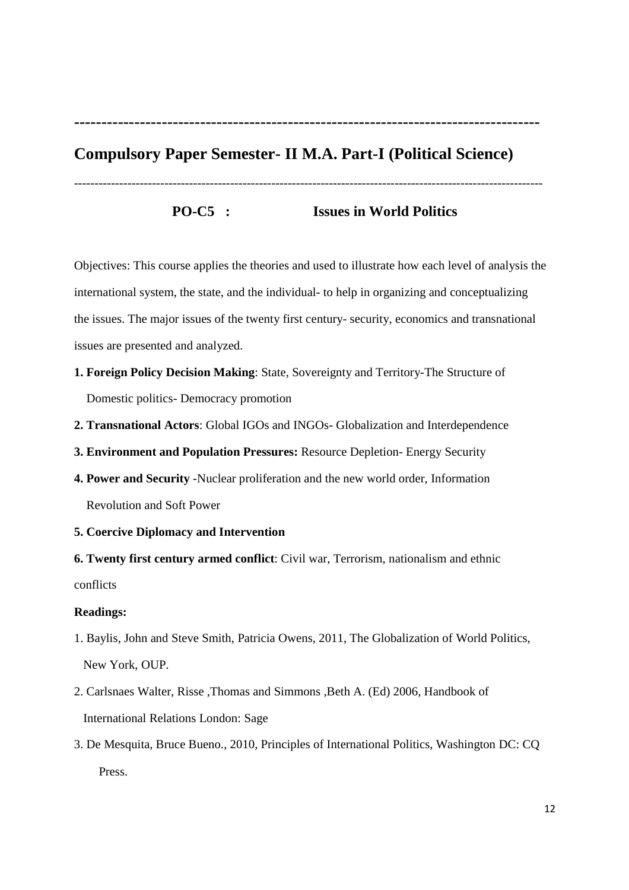**-------------------------------------------------------------------------------------** 

# **Compulsory Paper Semester- II M.A. Part-I (Political Science)**

**PO-C5 : Issues in World Politics** 

------------------------------------------------------------------------------------------------------------------

Objectives: This course applies the theories and used to illustrate how each level of analysis the international system, the state, and the individual- to help in organizing and conceptualizing the issues. The major issues of the twenty first century- security, economics and transnational issues are presented and analyzed.

- **1. Foreign Policy Decision Making**: State, Sovereignty and Territory-The Structure of Domestic politics- Democracy promotion
- **2. Transnational Actors**: Global IGOs and INGOs- Globalization and Interdependence
- **3. Environment and Population Pressures:** Resource Depletion- Energy Security
- **4. Power and Security** -Nuclear proliferation and the new world order, Information Revolution and Soft Power
- **5. Coercive Diplomacy and Intervention**

**6. Twenty first century armed conflict**: Civil war, Terrorism, nationalism and ethnic conflicts

### **Readings:**

- 1. Baylis, John and Steve Smith, Patricia Owens, 2011, The Globalization of World Politics, New York, OUP.
- 2. Carlsnaes Walter, Risse ,Thomas and Simmons ,Beth A. (Ed) 2006, Handbook of International Relations London: Sage
- 3. De Mesquita, Bruce Bueno., 2010, Principles of International Politics, Washington DC: CQ Press.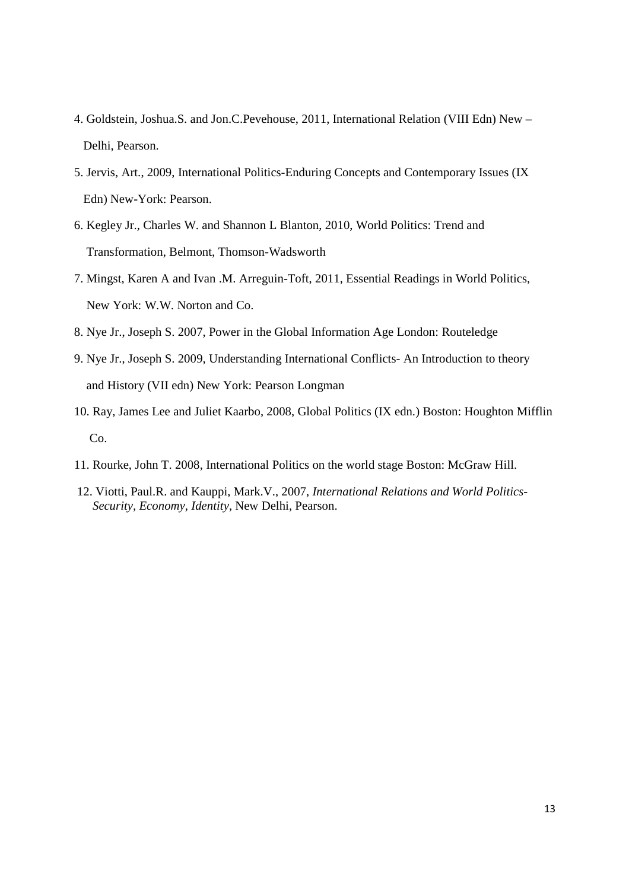- 4. Goldstein, Joshua.S. and Jon.C.Pevehouse, 2011, International Relation (VIII Edn) New Delhi, Pearson.
- 5. Jervis, Art., 2009, International Politics-Enduring Concepts and Contemporary Issues (IX Edn) New-York: Pearson.
- 6. Kegley Jr., Charles W. and Shannon L Blanton, 2010, World Politics: Trend and Transformation, Belmont, Thomson-Wadsworth
- 7. Mingst, Karen A and Ivan .M. Arreguin-Toft, 2011, Essential Readings in World Politics, New York: W.W. Norton and Co.
- 8. Nye Jr., Joseph S. 2007, Power in the Global Information Age London: Routeledge
- 9. Nye Jr., Joseph S. 2009, Understanding International Conflicts- An Introduction to theory and History (VII edn) New York: Pearson Longman
- 10. Ray, James Lee and Juliet Kaarbo, 2008, Global Politics (IX edn.) Boston: Houghton Mifflin Co.
- 11. Rourke, John T. 2008, International Politics on the world stage Boston: McGraw Hill.
- 12. Viotti, Paul.R. and Kauppi, Mark.V., 2007, *International Relations and World Politics- Security, Economy, Identity,* New Delhi, Pearson.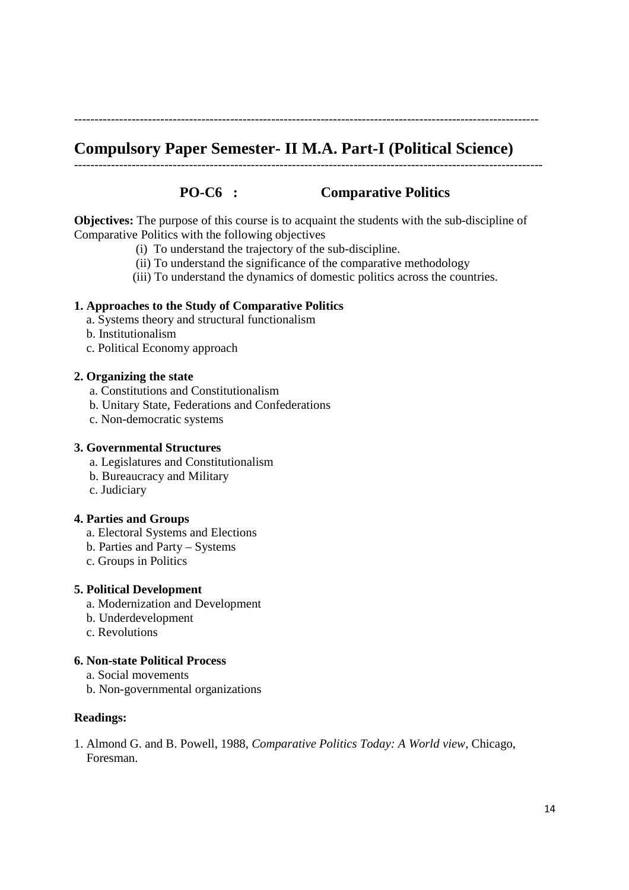# **Compulsory Paper Semester- II M.A. Part-I (Political Science)**

-----------------------------------------------------------------------------------------------------------------

------------------------------------------------------------------------------------------------------------------

# **PO-C6 : Comparative Politics**

**Objectives:** The purpose of this course is to acquaint the students with the sub-discipline of Comparative Politics with the following objectives

- (i) To understand the trajectory of the sub-discipline.
- (ii) To understand the significance of the comparative methodology
- (iii) To understand the dynamics of domestic politics across the countries.

### **1. Approaches to the Study of Comparative Politics**

- a. Systems theory and structural functionalism
- b. Institutionalism
- c. Political Economy approach

### **2. Organizing the state**

- a. Constitutions and Constitutionalism
- b. Unitary State, Federations and Confederations
- c. Non-democratic systems

### **3. Governmental Structures**

- a. Legislatures and Constitutionalism
- b. Bureaucracy and Military
- c. Judiciary

### **4. Parties and Groups**

- a. Electoral Systems and Elections
- b. Parties and Party Systems
- c. Groups in Politics
- **5. Political Development** 
	- a. Modernization and Development
	- b. Underdevelopment
	- c. Revolutions

# **6. Non-state Political Process**

- a. Social movements
- b. Non-governmental organizations

# **Readings:**

1. Almond G. and B. Powell, 1988, *Comparative Politics Today: A World view*, Chicago, Foresman.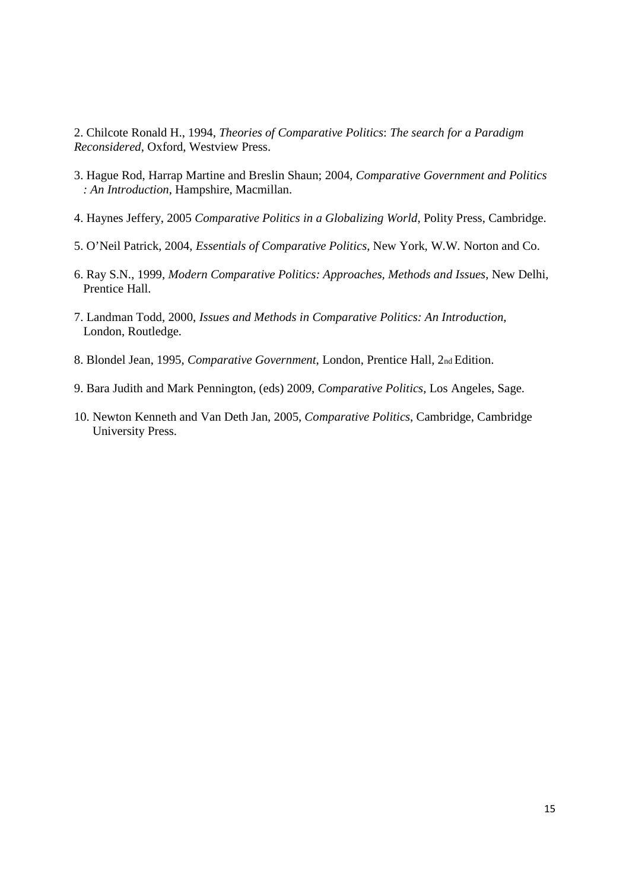2. Chilcote Ronald H., 1994, *Theories of Comparative Politics*: *The search for a Paradigm Reconsidered*, Oxford, Westview Press.

- 3. Hague Rod, Harrap Martine and Breslin Shaun; 2004, *Comparative Government and Politics : An Introduction*, Hampshire, Macmillan.
- 4. Haynes Jeffery, 2005 *Comparative Politics in a Globalizing World*, Polity Press, Cambridge.
- 5. O'Neil Patrick, 2004, *Essentials of Comparative Politics*, New York, W.W. Norton and Co.
- 6. Ray S.N., 1999, *Modern Comparative Politics: Approaches, Methods and Issues*, New Delhi, Prentice Hall.
- 7. Landman Todd, 2000, *Issues and Methods in Comparative Politics: An Introduction*, London, Routledge.
- 8. Blondel Jean, 1995, *Comparative Government*, London, Prentice Hall, 2nd Edition.
- 9. Bara Judith and Mark Pennington, (eds) 2009, *Comparative Politics*, Los Angeles, Sage.
- 10. Newton Kenneth and Van Deth Jan, 2005, *Comparative Politics*, Cambridge, Cambridge University Press.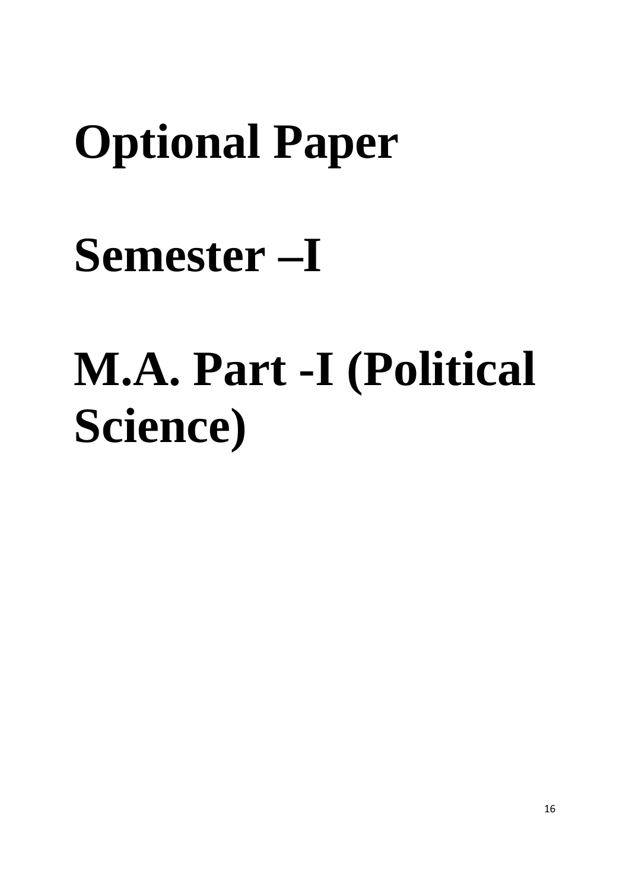# **Optional Paper**

# **Semester –I**

# **M.A. Part -I (Political Science)**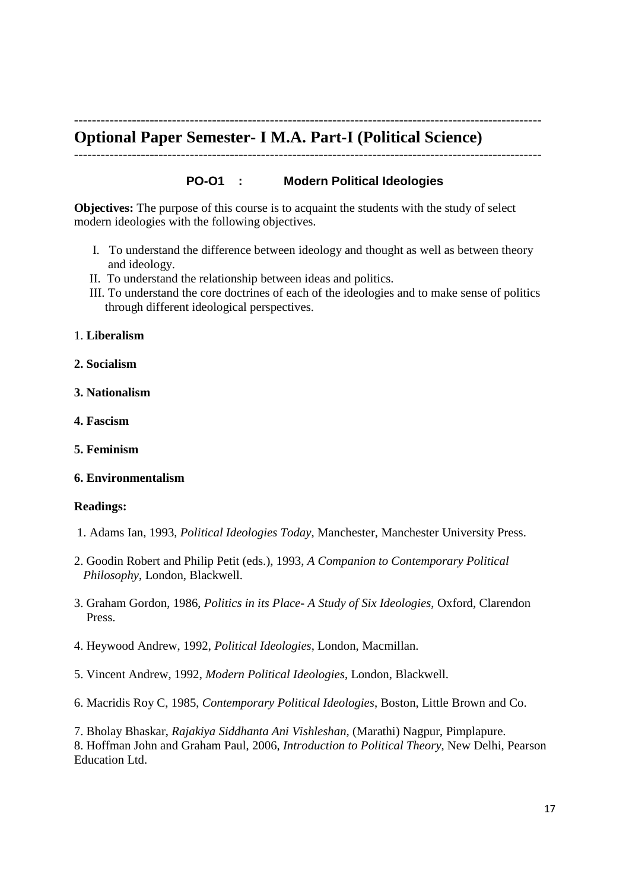# **Optional Paper Semester- I M.A. Part-I (Political Science)**

---------------------------------------------------------------------------------------------------------

# **PO-O1 : Modern Political Ideologies**

---------------------------------------------------------------------------------------------------------

**Objectives:** The purpose of this course is to acquaint the students with the study of select modern ideologies with the following objectives.

- I. To understand the difference between ideology and thought as well as between theory and ideology.
- II. To understand the relationship between ideas and politics.
- III. To understand the core doctrines of each of the ideologies and to make sense of politics through different ideological perspectives.
- 1. **Liberalism**
- **2. Socialism**
- **3. Nationalism**
- **4. Fascism**
- **5. Feminism**

# **6. Environmentalism**

### **Readings:**

- 1. Adams Ian, 1993, *Political Ideologies Today*, Manchester, Manchester University Press.
- 2. Goodin Robert and Philip Petit (eds.), 1993, *A Companion to Contemporary Political Philosophy*, London, Blackwell.
- 3. Graham Gordon, 1986, *Politics in its Place- A Study of Six Ideologies*, Oxford, Clarendon Press.
- 4. Heywood Andrew, 1992, *Political Ideologies*, London, Macmillan.
- 5. Vincent Andrew, 1992, *Modern Political Ideologies*, London, Blackwell.
- 6. Macridis Roy C, 1985, *Contemporary Political Ideologies*, Boston, Little Brown and Co.
- 7. Bholay Bhaskar, *Rajakiya Siddhanta Ani Vishleshan*, (Marathi) Nagpur, Pimplapure.

8. Hoffman John and Graham Paul, 2006, *Introduction to Political Theory*, New Delhi, Pearson Education Ltd.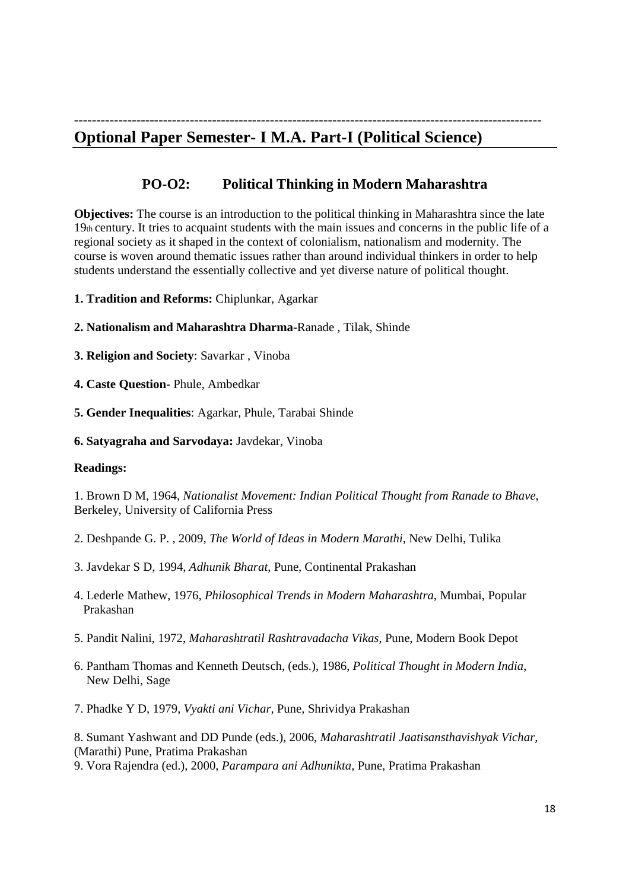# --------------------------------------------------------------------------------------------------------- **Optional Paper Semester- I M.A. Part-I (Political Science)**

# **PO-O2: Political Thinking in Modern Maharashtra**

**Objectives:** The course is an introduction to the political thinking in Maharashtra since the late 19th century. It tries to acquaint students with the main issues and concerns in the public life of a regional society as it shaped in the context of colonialism, nationalism and modernity. The course is woven around thematic issues rather than around individual thinkers in order to help students understand the essentially collective and yet diverse nature of political thought.

**1. Tradition and Reforms:** Chiplunkar, Agarkar

### **2. Nationalism and Maharashtra Dharma**-Ranade , Tilak, Shinde

- **3. Religion and Society**: Savarkar , Vinoba
- **4. Caste Question** Phule, Ambedkar
- **5. Gender Inequalities**: Agarkar, Phule, Tarabai Shinde
- **6. Satyagraha and Sarvodaya:** Javdekar, Vinoba

### **Readings:**

1. Brown D M, 1964, *Nationalist Movement: Indian Political Thought from Ranade to Bhave*, Berkeley, University of California Press

- 2. Deshpande G. P. , 2009, *The World of Ideas in Modern Marathi*, New Delhi, Tulika
- 3. Javdekar S D, 1994, *Adhunik Bharat*, Pune, Continental Prakashan
- 4. Lederle Mathew, 1976, *Philosophical Trends in Modern Maharashtra*, Mumbai, Popular Prakashan
- 5. Pandit Nalini, 1972, *Maharashtratil Rashtravadacha Vikas*, Pune, Modern Book Depot
- 6. Pantham Thomas and Kenneth Deutsch, (eds.), 1986, *Political Thought in Modern India*, New Delhi, Sage
- 7. Phadke Y D, 1979, *Vyakti ani Vichar,* Pune, Shrividya Prakashan

8. Sumant Yashwant and DD Punde (eds.), 2006, *Maharashtratil Jaatisansthavishyak Vichar*, (Marathi) Pune, Pratima Prakashan

9. Vora Rajendra (ed.), 2000, *Parampara ani Adhunikta*, Pune, Pratima Prakashan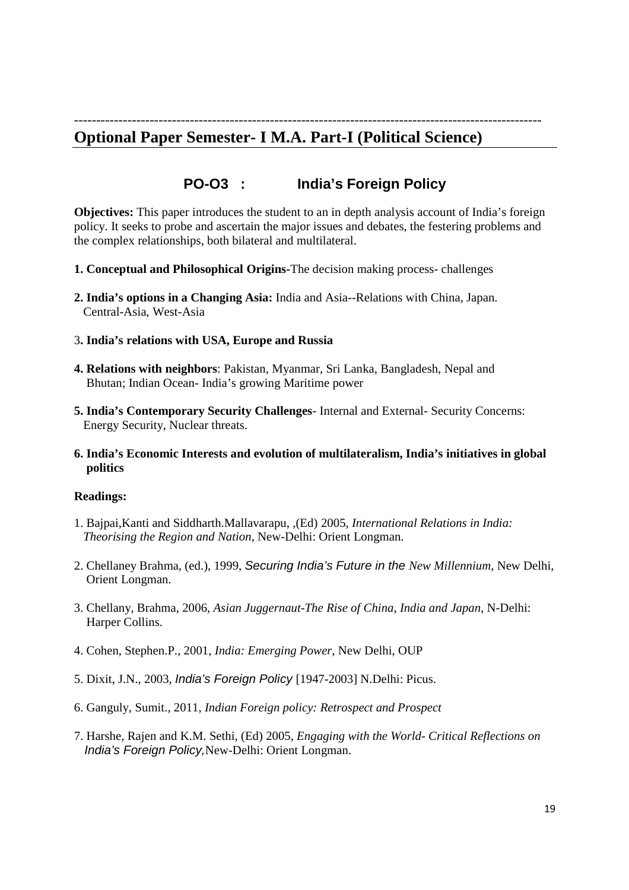# --------------------------------------------------------------------------------------------------------- **Optional Paper Semester- I M.A. Part-I (Political Science)**

# **PO-O3 : India's Foreign Policy**

**Objectives:** This paper introduces the student to an in depth analysis account of India's foreign policy. It seeks to probe and ascertain the major issues and debates, the festering problems and the complex relationships, both bilateral and multilateral.

- **1. Conceptual and Philosophical Origins-**The decision making process- challenges
- **2. India's options in a Changing Asia:** India and Asia--Relations with China, Japan. Central-Asia, West-Asia
- 3**. India's relations with USA, Europe and Russia**
- **4. Relations with neighbors**: Pakistan, Myanmar, Sri Lanka, Bangladesh, Nepal and Bhutan; Indian Ocean- India's growing Maritime power
- **5. India's Contemporary Security Challenges** Internal and External- Security Concerns: Energy Security, Nuclear threats.
- **6. India's Economic Interests and evolution of multilateralism, India's initiatives in global politics**

### **Readings:**

- 1. Bajpai,Kanti and Siddharth.Mallavarapu, ,(Ed) 2005, *International Relations in India: Theorising the Region and Nation*, New-Delhi: Orient Longman.
- 2. Chellaney Brahma, (ed.), 1999, Securing India's Future in the *New Millennium*, New Delhi, Orient Longman.
- 3. Chellany, Brahma, 2006, *Asian Juggernaut*-*The Rise of China*, *India and Japan*, N-Delhi: Harper Collins.
- 4. Cohen, Stephen.P., 2001, *India: Emerging Power*, New Delhi, OUP
- 5. Dixit, J.N., 2003, India's Foreign Policy [1947-2003] N.Delhi: Picus.
- 6. Ganguly, Sumit., 2011, *Indian Foreign policy: Retrospect and Prospect*
- 7. Harshe, Rajen and K.M. Sethi, (Ed) 2005, *Engaging with the World- Critical Reflections on*  India's Foreign Policy,New-Delhi: Orient Longman.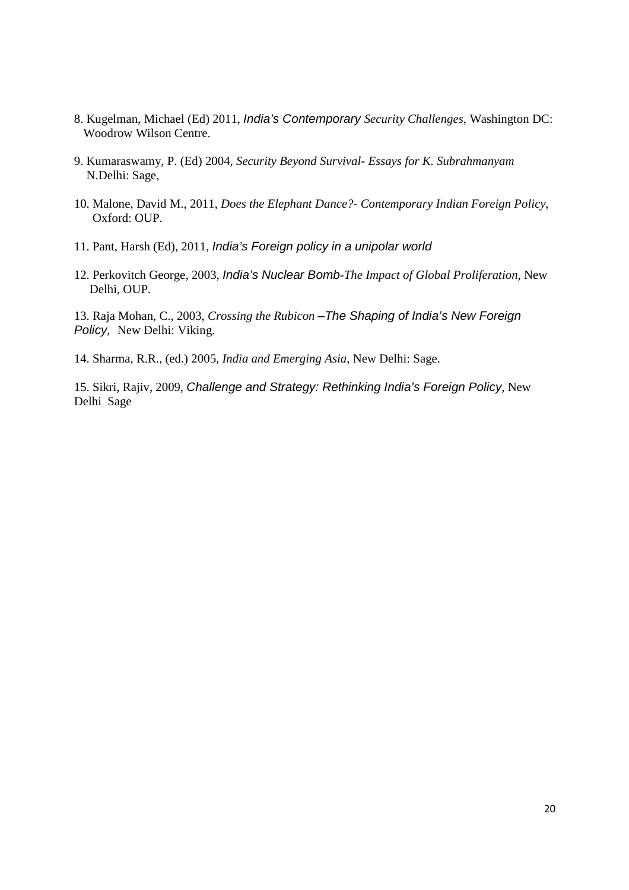- 8. Kugelman, Michael (Ed) 2011, India's Contemporary *Security Challenges*, Washington DC: Woodrow Wilson Centre.
- 9. Kumaraswamy, P. (Ed) 2004, *Security Beyond Survival- Essays for K. Subrahmanyam*  N.Delhi: Sage,
- 10. Malone, David M., 2011, *Does the Elephant Dance?- Contemporary Indian Foreign Policy*, Oxford: OUP.
- 11. Pant, Harsh (Ed), 2011, India's Foreign policy in a unipolar world
- 12. Perkovitch George, 2003, India's Nuclear Bomb*-The Impact of Global Proliferation*, New Delhi, OUP.

13. Raja Mohan, C., 2003, *Crossing the Rubicon* –The Shaping of India's New Foreign Policy, New Delhi: Viking.

14. Sharma, R.R., (ed.) 2005, *India and Emerging Asia*, New Delhi: Sage.

15. Sikri, Rajiv, 2009, Challenge and Strategy: Rethinking India's Foreign Policy, New Delhi Sage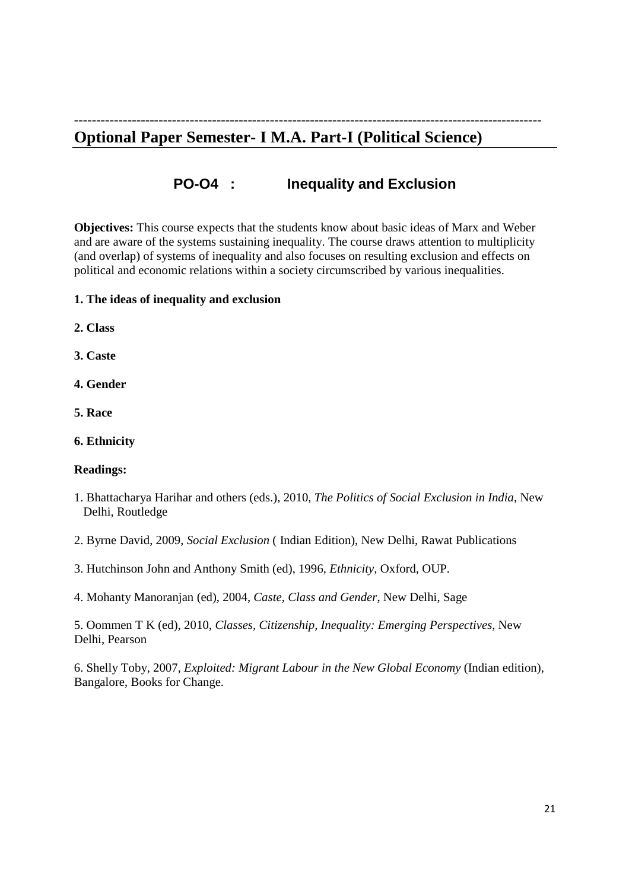# --------------------------------------------------------------------------------------------------------- **Optional Paper Semester- I M.A. Part-I (Political Science)**

**PO-O4 : Inequality and Exclusion** 

**Objectives:** This course expects that the students know about basic ideas of Marx and Weber and are aware of the systems sustaining inequality. The course draws attention to multiplicity (and overlap) of systems of inequality and also focuses on resulting exclusion and effects on political and economic relations within a society circumscribed by various inequalities.

# **1. The ideas of inequality and exclusion**

**2. Class** 

**3. Caste** 

**4. Gender** 

**5. Race** 

**6. Ethnicity** 

**Readings:** 

- 1. Bhattacharya Harihar and others (eds.), 2010, *The Politics of Social Exclusion in India*, New Delhi, Routledge
- 2. Byrne David, 2009, *Social Exclusion* ( Indian Edition), New Delhi, Rawat Publications
- 3. Hutchinson John and Anthony Smith (ed), 1996, *Ethnicity,* Oxford, OUP.

4. Mohanty Manoranjan (ed), 2004, *Caste, Class and Gender*, New Delhi, Sage

5. Oommen T K (ed), 2010, *Classes, Citizenship, Inequality: Emerging Perspectives*, New Delhi, Pearson

6. Shelly Toby, 2007, *Exploited: Migrant Labour in the New Global Economy* (Indian edition), Bangalore, Books for Change.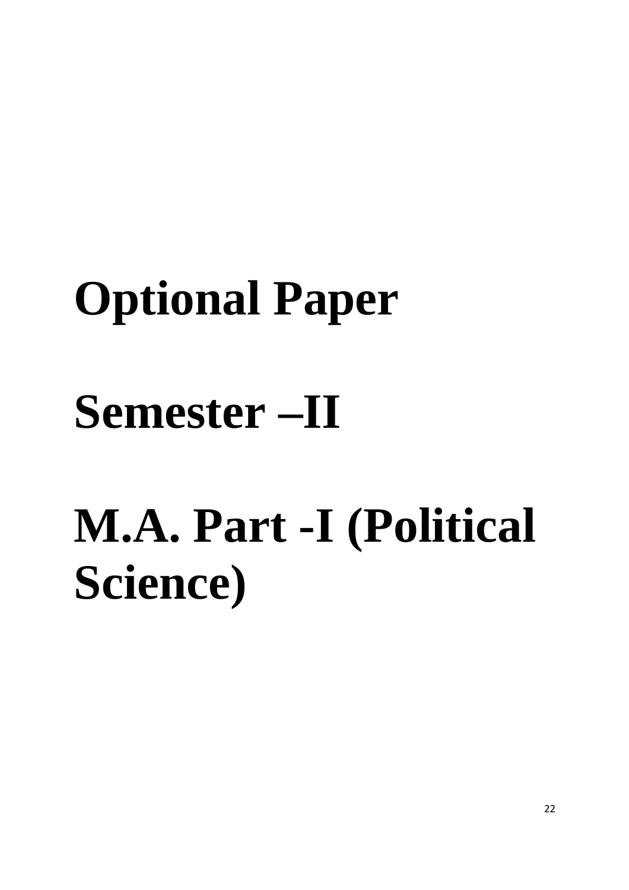# **Optional Paper Semester –II**

# **M.A. Part -I (Political Science)**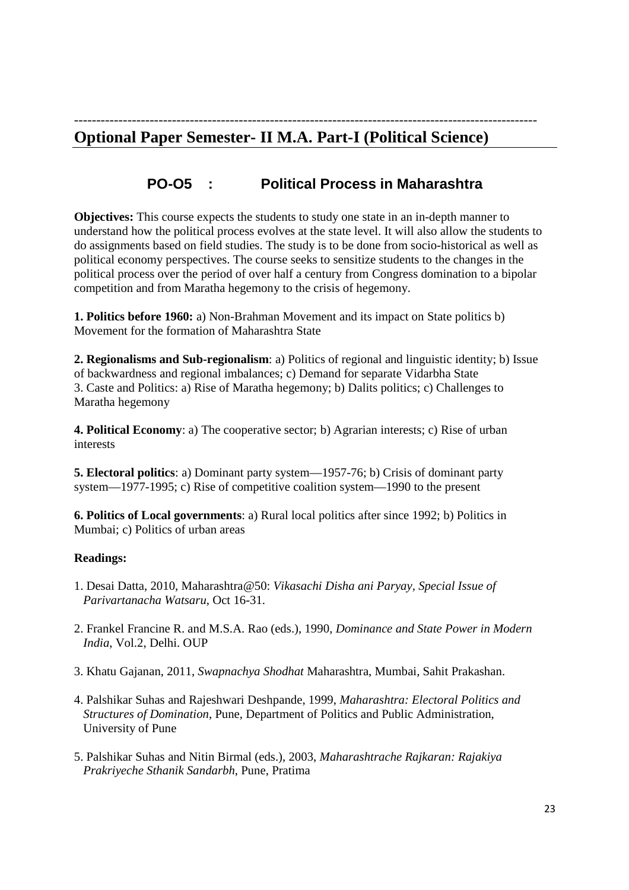# -------------------------------------------------------------------------------------------------------- **Optional Paper Semester- II M.A. Part-I (Political Science)**

# **PO-O5 : Political Process in Maharashtra**

**Objectives:** This course expects the students to study one state in an in-depth manner to understand how the political process evolves at the state level. It will also allow the students to do assignments based on field studies. The study is to be done from socio-historical as well as political economy perspectives. The course seeks to sensitize students to the changes in the political process over the period of over half a century from Congress domination to a bipolar competition and from Maratha hegemony to the crisis of hegemony.

**1. Politics before 1960:** a) Non-Brahman Movement and its impact on State politics b) Movement for the formation of Maharashtra State

**2. Regionalisms and Sub-regionalism**: a) Politics of regional and linguistic identity; b) Issue of backwardness and regional imbalances; c) Demand for separate Vidarbha State 3. Caste and Politics: a) Rise of Maratha hegemony; b) Dalits politics; c) Challenges to Maratha hegemony

**4. Political Economy**: a) The cooperative sector; b) Agrarian interests; c) Rise of urban interests

**5. Electoral politics**: a) Dominant party system—1957-76; b) Crisis of dominant party system—1977-1995; c) Rise of competitive coalition system—1990 to the present

**6. Politics of Local governments**: a) Rural local politics after since 1992; b) Politics in Mumbai; c) Politics of urban areas

# **Readings:**

- 1. Desai Datta, 2010, Maharashtra@50: *Vikasachi Disha ani Paryay, Special Issue of Parivartanacha Watsaru*, Oct 16-31.
- 2. Frankel Francine R. and M.S.A. Rao (eds.), 1990, *Dominance and State Power in Modern India*, Vol.2, Delhi. OUP
- 3. Khatu Gajanan, 2011, *Swapnachya Shodhat* Maharashtra, Mumbai, Sahit Prakashan.
- 4. Palshikar Suhas and Rajeshwari Deshpande, 1999, *Maharashtra: Electoral Politics and Structures of Domination*, Pune, Department of Politics and Public Administration, University of Pune
- 5. Palshikar Suhas and Nitin Birmal (eds.), 2003, *Maharashtrache Rajkaran: Rajakiya Prakriyeche Sthanik Sandarbh*, Pune, Pratima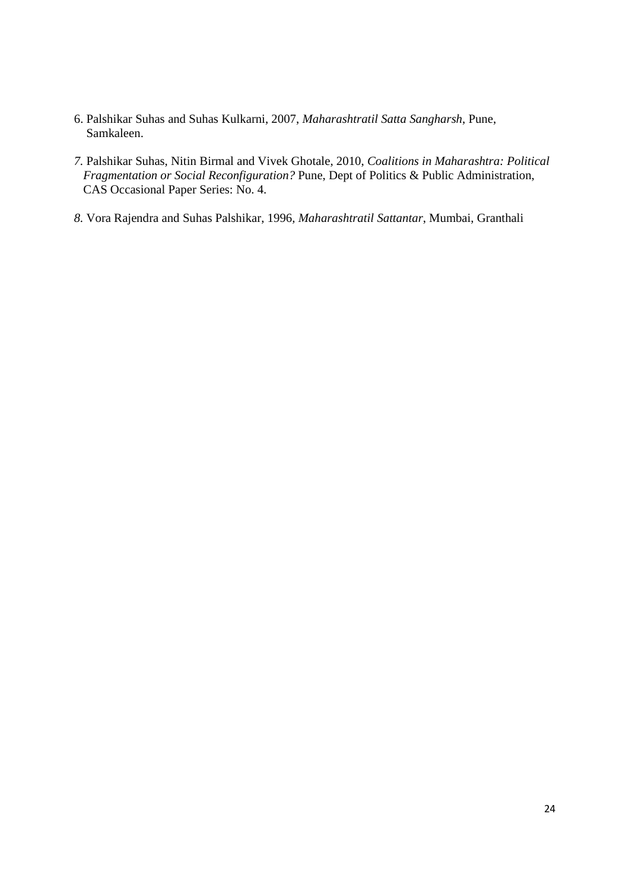- 6. Palshikar Suhas and Suhas Kulkarni, 2007, *Maharashtratil Satta Sangharsh*, Pune, Samkaleen.
- *7.* Palshikar Suhas, Nitin Birmal and Vivek Ghotale, 2010, *Coalitions in Maharashtra: Political Fragmentation or Social Reconfiguration?* Pune, Dept of Politics & Public Administration, CAS Occasional Paper Series: No. 4.
- *8.* Vora Rajendra and Suhas Palshikar, 1996*, Maharashtratil Sattantar*, Mumbai, Granthali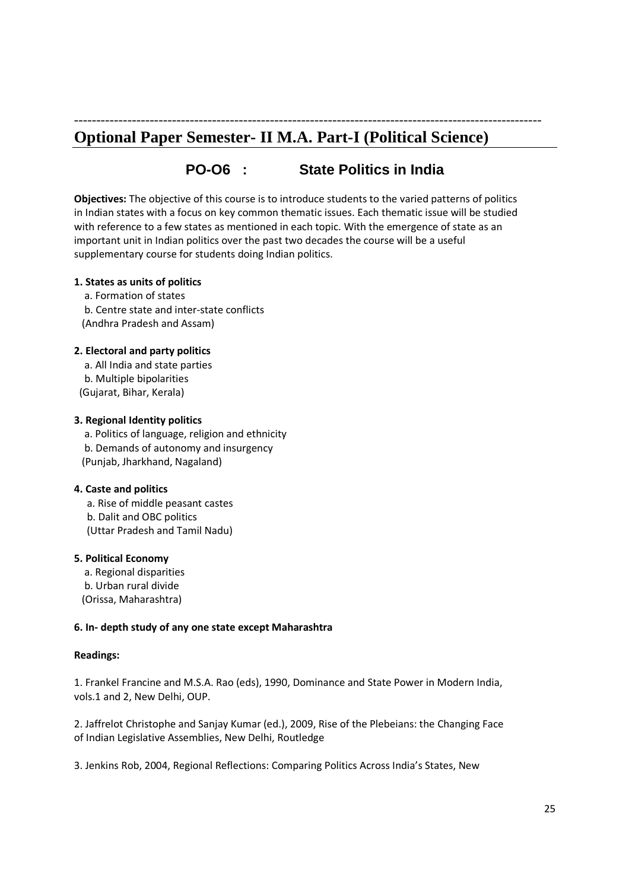# **Optional Paper Semester- II M.A. Part-I (Political Science)**

# **PO-O6 : State Politics in India**

---------------------------------------------------------------------------------------------------------

**Objectives:** The objective of this course is to introduce students to the varied patterns of politics in Indian states with a focus on key common thematic issues. Each thematic issue will be studied with reference to a few states as mentioned in each topic. With the emergence of state as an important unit in Indian politics over the past two decades the course will be a useful supplementary course for students doing Indian politics.

### **1. States as units of politics**

 a. Formation of states b. Centre state and inter-state conflicts (Andhra Pradesh and Assam)

#### **2. Electoral and party politics**

 a. All India and state parties b. Multiple bipolarities (Gujarat, Bihar, Kerala)

#### **3. Regional Identity politics**

 a. Politics of language, religion and ethnicity b. Demands of autonomy and insurgency (Punjab, Jharkhand, Nagaland)

### **4. Caste and politics**

 a. Rise of middle peasant castes b. Dalit and OBC politics (Uttar Pradesh and Tamil Nadu)

#### **5. Political Economy**

 a. Regional disparities b. Urban rural divide (Orissa, Maharashtra)

### **6. In- depth study of any one state except Maharashtra**

### **Readings:**

1. Frankel Francine and M.S.A. Rao (eds), 1990, Dominance and State Power in Modern India, vols.1 and 2, New Delhi, OUP.

2. Jaffrelot Christophe and Sanjay Kumar (ed.), 2009, Rise of the Plebeians: the Changing Face of Indian Legislative Assemblies, New Delhi, Routledge

3. Jenkins Rob, 2004, Regional Reflections: Comparing Politics Across India's States, New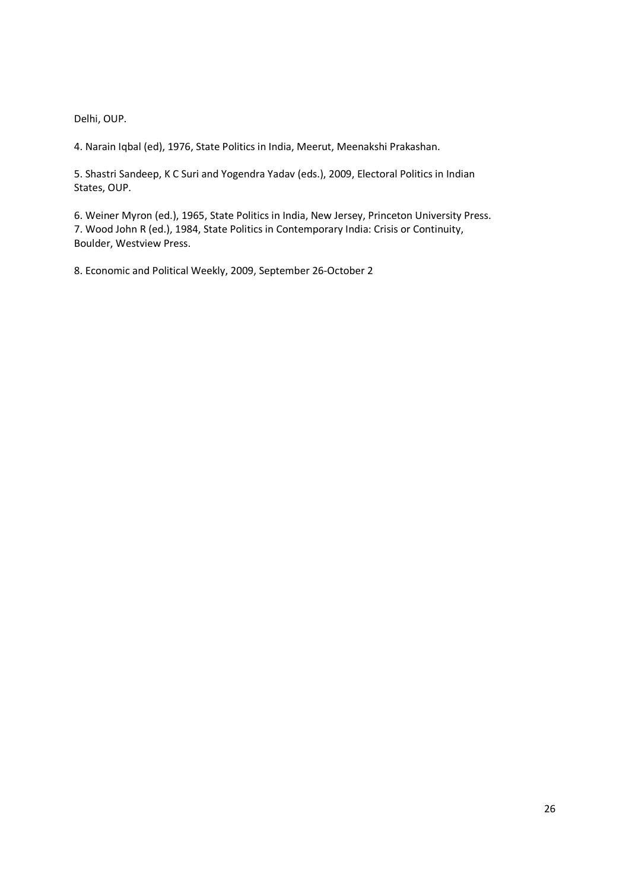Delhi, OUP.

4. Narain Iqbal (ed), 1976, State Politics in India, Meerut, Meenakshi Prakashan.

5. Shastri Sandeep, K C Suri and Yogendra Yadav (eds.), 2009, Electoral Politics in Indian States, OUP.

6. Weiner Myron (ed.), 1965, State Politics in India, New Jersey, Princeton University Press. 7. Wood John R (ed.), 1984, State Politics in Contemporary India: Crisis or Continuity, Boulder, Westview Press.

8. Economic and Political Weekly, 2009, September 26-October 2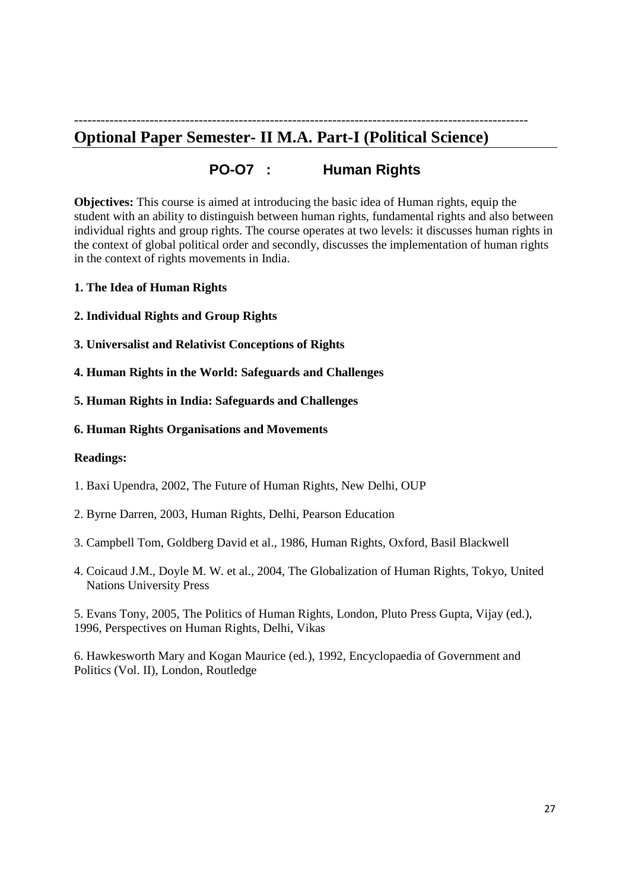# ------------------------------------------------------------------------------------------------------ **Optional Paper Semester- II M.A. Part-I (Political Science)**

# **PO-O7 : Human Rights**

**Objectives:** This course is aimed at introducing the basic idea of Human rights, equip the student with an ability to distinguish between human rights, fundamental rights and also between individual rights and group rights. The course operates at two levels: it discusses human rights in the context of global political order and secondly, discusses the implementation of human rights in the context of rights movements in India.

- **1. The Idea of Human Rights**
- **2. Individual Rights and Group Rights**
- **3. Universalist and Relativist Conceptions of Rights**
- **4. Human Rights in the World: Safeguards and Challenges**
- **5. Human Rights in India: Safeguards and Challenges**

### **6. Human Rights Organisations and Movements**

### **Readings:**

- 1. Baxi Upendra, 2002, The Future of Human Rights, New Delhi, OUP
- 2. Byrne Darren, 2003, Human Rights, Delhi, Pearson Education
- 3. Campbell Tom, Goldberg David et al., 1986, Human Rights, Oxford, Basil Blackwell
- 4. Coicaud J.M., Doyle M. W. et al., 2004, The Globalization of Human Rights, Tokyo, United Nations University Press

5. Evans Tony, 2005, The Politics of Human Rights, London, Pluto Press Gupta, Vijay (ed.), 1996, Perspectives on Human Rights, Delhi, Vikas

6. Hawkesworth Mary and Kogan Maurice (ed.), 1992, Encyclopaedia of Government and Politics (Vol. II), London, Routledge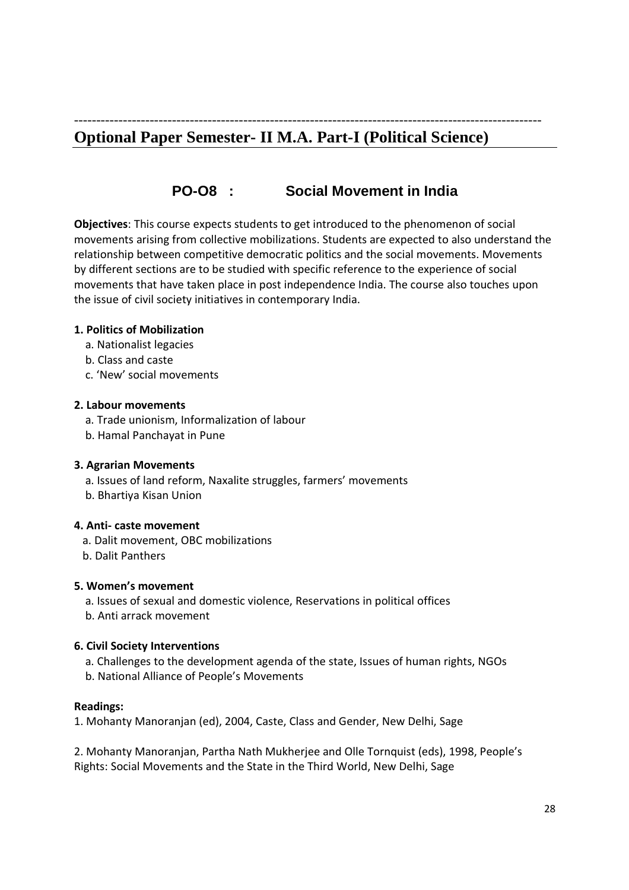# --------------------------------------------------------------------------------------------------------- **Optional Paper Semester- II M.A. Part-I (Political Science)**

# **PO-O8 : Social Movement in India**

**Objectives**: This course expects students to get introduced to the phenomenon of social movements arising from collective mobilizations. Students are expected to also understand the relationship between competitive democratic politics and the social movements. Movements by different sections are to be studied with specific reference to the experience of social movements that have taken place in post independence India. The course also touches upon the issue of civil society initiatives in contemporary India.

# **1. Politics of Mobilization**

- a. Nationalist legacies
- b. Class and caste
- c. 'New' social movements

# **2. Labour movements**

- a. Trade unionism, Informalization of labour
- b. Hamal Panchayat in Pune

# **3. Agrarian Movements**

- a. Issues of land reform, Naxalite struggles, farmers' movements
- b. Bhartiya Kisan Union

# **4. Anti- caste movement**

- a. Dalit movement, OBC mobilizations
- b. Dalit Panthers

# **5. Women's movement**

 a. Issues of sexual and domestic violence, Reservations in political offices b. Anti arrack movement

# **6. Civil Society Interventions**

- a. Challenges to the development agenda of the state, Issues of human rights, NGOs
- b. National Alliance of People's Movements

# **Readings:**

1. Mohanty Manoranjan (ed), 2004, Caste, Class and Gender, New Delhi, Sage

2. Mohanty Manoranjan, Partha Nath Mukherjee and Olle Tornquist (eds), 1998, People's Rights: Social Movements and the State in the Third World, New Delhi, Sage